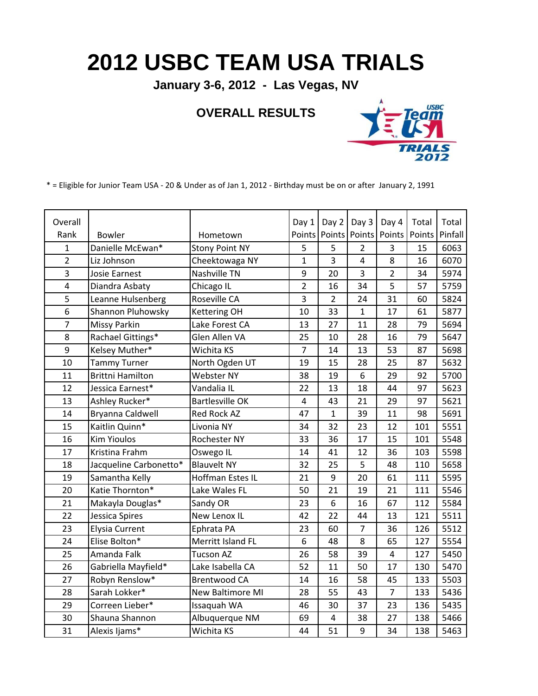## **2012 USBC TEAM USA TRIALS**

**January 3-6, 2012 - Las Vegas, NV**

## **OVERALL RESULTS**



\* = Eligible for Junior Team USA - 20 & Under as of Jan 1, 2012 - Birthday must be on or after January 2, 1991

| Overall        |                         |                        | Day 1          | Day 2                    | Day 3          | Day 4          | Total  | Total   |
|----------------|-------------------------|------------------------|----------------|--------------------------|----------------|----------------|--------|---------|
| Rank           | Bowler                  | Hometown               |                | Points   Points   Points |                | Points         | Points | Pinfall |
| $\mathbf{1}$   | Danielle McEwan*        | <b>Stony Point NY</b>  | 5              | 5                        | $\overline{2}$ | 3              | 15     | 6063    |
| $\overline{2}$ | Liz Johnson             | Cheektowaga NY         | 1              | 3                        | 4              | 8              | 16     | 6070    |
| 3              | <b>Josie Earnest</b>    | Nashville TN           | 9              | 20                       | 3              | $\overline{2}$ | 34     | 5974    |
| 4              | Diandra Asbaty          | Chicago IL             | $\overline{2}$ | 16                       | 34             | 5              | 57     | 5759    |
| 5              | Leanne Hulsenberg       | Roseville CA           | 3              | $\overline{2}$           | 24             | 31             | 60     | 5824    |
| 6              | Shannon Pluhowsky       | <b>Kettering OH</b>    | 10             | 33                       | $\mathbf{1}$   | 17             | 61     | 5877    |
| $\overline{7}$ | Missy Parkin            | Lake Forest CA         | 13             | 27                       | 11             | 28             | 79     | 5694    |
| 8              | Rachael Gittings*       | Glen Allen VA          | 25             | 10                       | 28             | 16             | 79     | 5647    |
| 9              | Kelsey Muther*          | Wichita KS             | $\overline{7}$ | 14                       | 13             | 53             | 87     | 5698    |
| 10             | <b>Tammy Turner</b>     | North Ogden UT         | 19             | 15                       | 28             | 25             | 87     | 5632    |
| 11             | <b>Brittni Hamilton</b> | <b>Webster NY</b>      | 38             | 19                       | 6              | 29             | 92     | 5700    |
| 12             | Jessica Earnest*        | Vandalia IL            | 22             | 13                       | 18             | 44             | 97     | 5623    |
| 13             | Ashley Rucker*          | <b>Bartlesville OK</b> | 4              | 43                       | 21             | 29             | 97     | 5621    |
| 14             | Bryanna Caldwell        | <b>Red Rock AZ</b>     | 47             | $\mathbf{1}$             | 39             | 11             | 98     | 5691    |
| 15             | Kaitlin Quinn*          | Livonia NY             | 34             | 32                       | 23             | 12             | 101    | 5551    |
| 16             | <b>Kim Yioulos</b>      | <b>Rochester NY</b>    | 33             | 36                       | 17             | 15             | 101    | 5548    |
| 17             | Kristina Frahm          | Oswego IL              | 14             | 41                       | 12             | 36             | 103    | 5598    |
| 18             | Jacqueline Carbonetto*  | <b>Blauvelt NY</b>     | 32             | 25                       | 5              | 48             | 110    | 5658    |
| 19             | Samantha Kelly          | Hoffman Estes IL       | 21             | 9                        | 20             | 61             | 111    | 5595    |
| 20             | Katie Thornton*         | Lake Wales FL          | 50             | 21                       | 19             | 21             | 111    | 5546    |
| 21             | Makayla Douglas*        | Sandy OR               | 23             | 6                        | 16             | 67             | 112    | 5584    |
| 22             | Jessica Spires          | <b>New Lenox IL</b>    | 42             | 22                       | 44             | 13             | 121    | 5511    |
| 23             | <b>Elysia Current</b>   | Ephrata PA             | 23             | 60                       | $\overline{7}$ | 36             | 126    | 5512    |
| 24             | Elise Bolton*           | Merritt Island FL      | 6              | 48                       | 8              | 65             | 127    | 5554    |
| 25             | Amanda Falk             | <b>Tucson AZ</b>       | 26             | 58                       | 39             | 4              | 127    | 5450    |
| 26             | Gabriella Mayfield*     | Lake Isabella CA       | 52             | 11                       | 50             | 17             | 130    | 5470    |
| 27             | Robyn Renslow*          | <b>Brentwood CA</b>    | 14             | 16                       | 58             | 45             | 133    | 5503    |
| 28             | Sarah Lokker*           | New Baltimore MI       | 28             | 55                       | 43             | $\overline{7}$ | 133    | 5436    |
| 29             | Correen Lieber*         | Issaquah WA            | 46             | 30                       | 37             | 23             | 136    | 5435    |
| 30             | Shauna Shannon          | Albuquerque NM         | 69             | $\overline{\mathbf{4}}$  | 38             | 27             | 138    | 5466    |
| 31             | Alexis Ijams*           | Wichita KS             | 44             | 51                       | 9              | 34             | 138    | 5463    |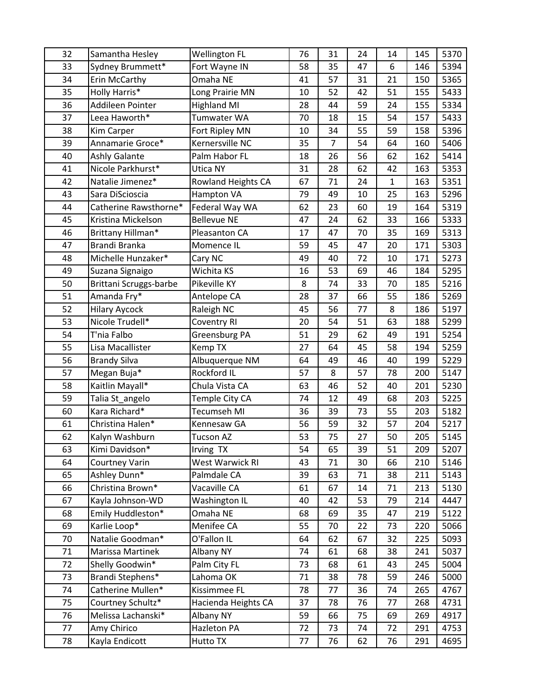| 32 | Samantha Hesley        | <b>Wellington FL</b> | 76 | 31 | 24 | 14           | 145 | 5370 |
|----|------------------------|----------------------|----|----|----|--------------|-----|------|
| 33 | Sydney Brummett*       | Fort Wayne IN        | 58 | 35 | 47 | 6            | 146 | 5394 |
| 34 | Erin McCarthy          | Omaha NE             | 41 | 57 | 31 | 21           | 150 | 5365 |
| 35 | Holly Harris*          | Long Prairie MN      | 10 | 52 | 42 | 51           | 155 | 5433 |
| 36 | Addileen Pointer       | <b>Highland MI</b>   | 28 | 44 | 59 | 24           | 155 | 5334 |
| 37 | Leea Haworth*          | Tumwater WA          | 70 | 18 | 15 | 54           | 157 | 5433 |
| 38 | <b>Kim Carper</b>      | Fort Ripley MN       | 10 | 34 | 55 | 59           | 158 | 5396 |
| 39 | Annamarie Groce*       | Kernersville NC      | 35 | 7  | 54 | 64           | 160 | 5406 |
| 40 | <b>Ashly Galante</b>   | Palm Habor FL        | 18 | 26 | 56 | 62           | 162 | 5414 |
| 41 | Nicole Parkhurst*      | Utica NY             | 31 | 28 | 62 | 42           | 163 | 5353 |
| 42 | Natalie Jimenez*       | Rowland Heights CA   | 67 | 71 | 24 | $\mathbf{1}$ | 163 | 5351 |
| 43 | Sara DiScioscia        | Hampton VA           | 79 | 49 | 10 | 25           | 163 | 5296 |
| 44 | Catherine Rawsthorne*  | Federal Way WA       | 62 | 23 | 60 | 19           | 164 | 5319 |
| 45 | Kristina Mickelson     | <b>Bellevue NE</b>   | 47 | 24 | 62 | 33           | 166 | 5333 |
| 46 | Brittany Hillman*      | Pleasanton CA        | 17 | 47 | 70 | 35           | 169 | 5313 |
| 47 | Brandi Branka          | Momence IL           | 59 | 45 | 47 | 20           | 171 | 5303 |
| 48 | Michelle Hunzaker*     | Cary NC              | 49 | 40 | 72 | 10           | 171 | 5273 |
| 49 | Suzana Signaigo        | Wichita KS           | 16 | 53 | 69 | 46           | 184 | 5295 |
| 50 | Brittani Scruggs-barbe | Pikeville KY         | 8  | 74 | 33 | 70           | 185 | 5216 |
| 51 | Amanda Fry*            | Antelope CA          | 28 | 37 | 66 | 55           | 186 | 5269 |
| 52 | <b>Hilary Aycock</b>   | Raleigh NC           | 45 | 56 | 77 | 8            | 186 | 5197 |
| 53 | Nicole Trudell*        | Coventry RI          | 20 | 54 | 51 | 63           | 188 | 5299 |
| 54 | T'nia Falbo            | Greensburg PA        | 51 | 29 | 62 | 49           | 191 | 5254 |
| 55 | Lisa Macallister       | Kemp TX              | 27 | 64 | 45 | 58           | 194 | 5259 |
| 56 | <b>Brandy Silva</b>    | Albuquerque NM       | 64 | 49 | 46 | 40           | 199 | 5229 |
| 57 | Megan Buja*            | Rockford IL          | 57 | 8  | 57 | 78           | 200 | 5147 |
| 58 | Kaitlin Mayall*        | Chula Vista CA       | 63 | 46 | 52 | 40           | 201 | 5230 |
| 59 | Talia St_angelo        | Temple City CA       | 74 | 12 | 49 | 68           | 203 | 5225 |
| 60 | Kara Richard*          | Tecumseh MI          | 36 | 39 | 73 | 55           | 203 | 5182 |
| 61 | Christina Halen*       | Kennesaw GA          | 56 | 59 | 32 | 57           | 204 | 5217 |
| 62 | Kalyn Washburn         | <b>Tucson AZ</b>     | 53 | 75 | 27 | 50           | 205 | 5145 |
| 63 | Kimi Davidson*         | Irving TX            | 54 | 65 | 39 | 51           | 209 | 5207 |
| 64 | <b>Courtney Varin</b>  | West Warwick RI      | 43 | 71 | 30 | 66           | 210 | 5146 |
| 65 | Ashley Dunn*           | Palmdale CA          | 39 | 63 | 71 | 38           | 211 | 5143 |
| 66 | Christina Brown*       | Vacaville CA         | 61 | 67 | 14 | 71           | 213 | 5130 |
| 67 | Kayla Johnson-WD       | Washington IL        | 40 | 42 | 53 | 79           | 214 | 4447 |
| 68 | Emily Huddleston*      | Omaha NE             | 68 | 69 | 35 | 47           | 219 | 5122 |
| 69 | Karlie Loop*           | Menifee CA           | 55 | 70 | 22 | 73           | 220 | 5066 |
| 70 | Natalie Goodman*       | O'Fallon IL          | 64 | 62 | 67 | 32           | 225 | 5093 |
| 71 | Marissa Martinek       | Albany NY            | 74 | 61 | 68 | 38           | 241 | 5037 |
| 72 | Shelly Goodwin*        | Palm City FL         | 73 | 68 | 61 | 43           | 245 | 5004 |
| 73 | Brandi Stephens*       | Lahoma OK            | 71 | 38 | 78 | 59           | 246 | 5000 |
| 74 | Catherine Mullen*      | Kissimmee FL         | 78 | 77 | 36 | 74           | 265 | 4767 |
| 75 | Courtney Schultz*      | Hacienda Heights CA  | 37 | 78 | 76 | 77           | 268 | 4731 |
| 76 | Melissa Lachanski*     | Albany NY            | 59 | 66 | 75 | 69           | 269 | 4917 |
| 77 | Amy Chirico            | Hazleton PA          | 72 | 73 | 74 | 72           | 291 | 4753 |
| 78 | Kayla Endicott         | Hutto TX             | 77 | 76 | 62 | 76           | 291 | 4695 |